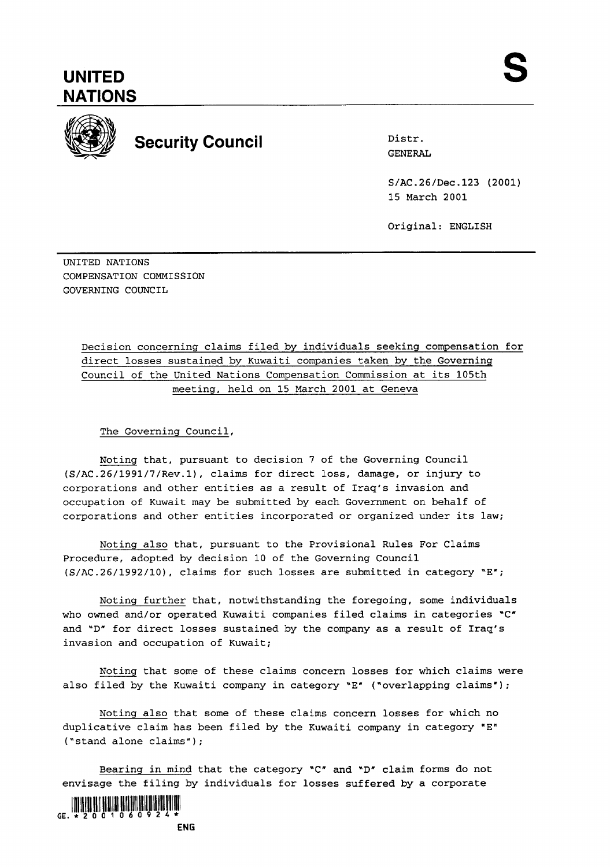## **UNITED NATIONS**



# **Security Council** Distr.

GENERAL

S/AC.26/Dec.123 (2001) 15 March 2001

Original: ENGLISH

UNITED NATIONS COMPENSATION COMMISSION GOVERNING COUNCIL

> Decision concerning claims filed by individuals seeking compensation for direct losses sustained by Kuwaiti companies taken by the Governing Council of the United Nations Compensation Commission at its 105th meeting, held on 15 March 2001 at Geneva

The Governing Council,

Noting that, pursuant to decision 7 of the Governing Council (S/AC.26/1991/7/Rev.l), claims for direct loss, damage, or injury to corporations and other entities as a result of Iraq's invasion and occupation of Kuwait may be submitted by each Government on behalf of corporations and other entities incorporated or organized under its law;

Noting also that, pursuant to the Provisional Rules For Claims Procedure, adopted by decision 10 of the Governing Council  $(S/AC.26/1992/10)$ , claims for such losses are submitted in category "E";

Noting further that, notwithstanding the foregoing, some individuals who owned and/or operated Kuwaiti companies filed claims in categories "C" and "D" for direct losses sustained by the company as a result of Iraq's invasion and occupation of Kuwait;

Noting that some of these claims concern losses for which claims were also filed by the Kuwaiti company in category "E" ("overlapping claims");

Noting also that some of these claims concern losses for which no duplicative claim has been filed by the Kuwaiti company in category "E" ("stand alone claims");

Bearing in mind that the category "C" and "D" claim forms do not envisage the filing by individuals for losses suffered by a corporate



**ENG**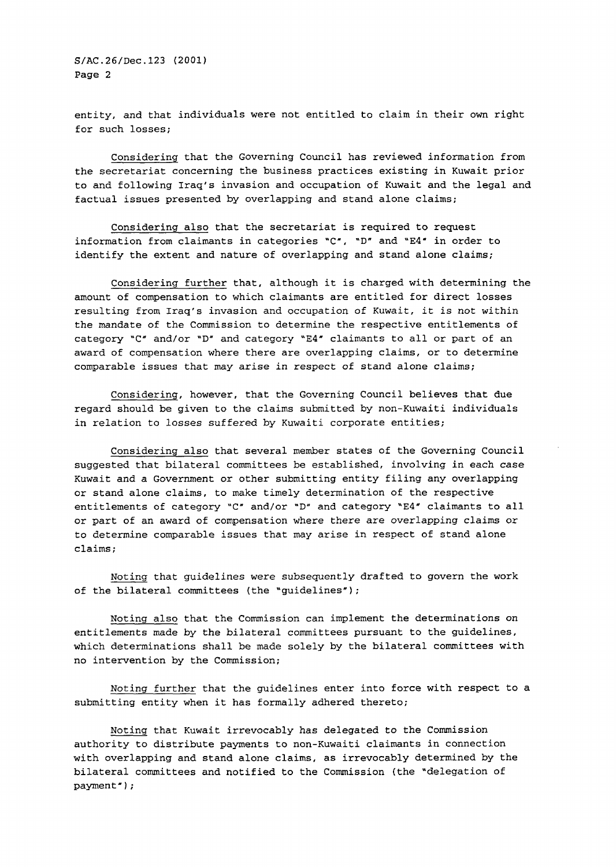entity, and that individuals were not entitled to claim in their own right for such losses;

Considering that the Governing Council has reviewed information from the secretariat concerning the business practices existing in Kuwait prior to and following Iraq's invasion and occupation of Kuwait and the legal and factual issues presented by overlapping and stand alone claims;

Considering also that the secretariat is required to request information from claimants in categories " $C''$ , " $D''$  and "E4" in order to identify the extent and nature of overlapping and stand alone claims;

Considering further that, although it is charged with determining the amount of compensation to which claimants are entitled for direct losses resulting from Iraq's invasion and occupation of Kuwait, it is not within the mandate of the Commission to determine the respective entitlements of category "C" and/or "D" and category "E4" claimants to all or part of an award of compensation where there are overlapping claims, or to determine comparable issues that may arise in respect of stand alone claims;

Considering, however, that the Governing Council believes that due regard should be given to the claims submitted by non-Kuwaiti individuals in relation to losses suffered by Kuwaiti corporate entities;

Considering also that several member states of the Governing Council suggested that bilateral committees be established, involving in each case Kuwait and a Government or other submitting entity filing any overlapping or stand alone claims, to make timely determination of the respective entitlements of category "C" and/or "D" and category "E4" claimants to all or part of an award of compensation where there are overlapping claims or to determine comparable issues that may arise in respect of stand alone claims ;

Noting that guidelines were subsequently drafted to govern the work of the bilateral committees (the "guidelines");

Noting also that the Commission can implement the determinations on entitlements made by the bilateral committees pursuant to the guidelines, which determinations shall be made solely by the bilateral committees with no intervention by the Commission;

Noting further that the guidelines enter into force with respect to a submitting entity when it has formally adhered thereto;

Noting that Kuwait irrevocably has delegated to the Commission authority to distribute payments to non-Kuwaiti claimants in connection with overlapping and stand alone claims, as irrevocably determined by the bilateral committees and notified to the Commission (the "delegation of payment" ;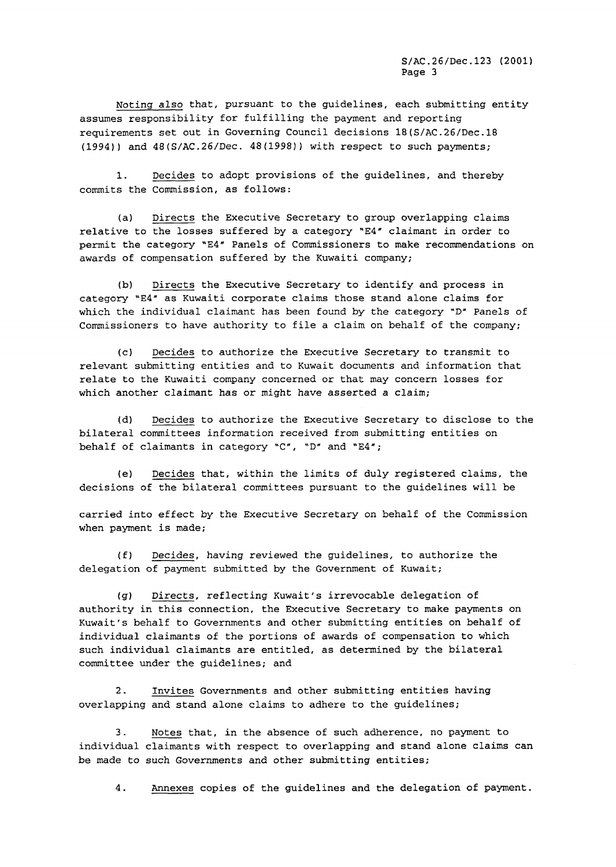Noting also that, pursuant to the guidelines, each submitting entity assumes responsibility for fulfilling the payment and reporting requirements set out in Governing Council decisions 18(S/AC.26/Dec.18 (1994)) and 48(S/AC.26/Dec. 48(1998)) with respect to such payments;

1. Decides to adopt provisions of the guidelines, and thereby commits the Commission, as follows:

(a) Directs the Executive Secretary to group overlapping claims relative to the losses suffered by a category "E4" claimant in order to permit the category **"E4"** Panels of Commissioners to make recommendations on awards of compensation suffered by the Kuwaiti company;

(b) Directs the Executive Secretary to identify and process in category 'E4" as Kuwaiti corporate claims those stand alone claims for which the individual claimant has been found by the category "D" Panels of Commissioners to have authority to file a claim on behalf of the company;

(c) Decides to authorize the Executive Secretary to transmit to relevant submitting entities and to Kuwait documents and information that relate to the Kuwaiti company concerned or that may concern losses for which another claimant has or might have asserted a claim;

(d) Decides to authorize the Executive Secretary to disclose to the bilateral committees information received from submitting entities on behalf of claimants in category "C", 'D" and **"E4";** 

(el Decides that, within the limits of duly registered claims, the decisions of the bilateral committees pursuant to the guidelines will be

carried into effect by the Executive Secretary on behalf of the Commission when payment is made;

(£1 Decides, having reviewed the guidelines, to authorize the delegation of payment submitted by the Government of Kuwait;

(g) Directs, reflecting Kuwait's irrevocable delegation of authority in this connection, the Executive Secretary to make payments on Kuwait's behalf to Governments and other submitting entities on behalf of individual claimants of the portions of awards of compensation to which such individual claimants are entitled, as determined by the bilateral committee under the guidelines; and

2. Invites Governments and other submitting entities having overlapping and stand alone claims to adhere to the guidelines;

3. Notes that, in the absence of such adherence, no payment to individual claimants with respect to overlapping and stand alone claims can be made to such Governments and other submitting entities;

4. Annexes copies of the guidelines and the delegation of payment.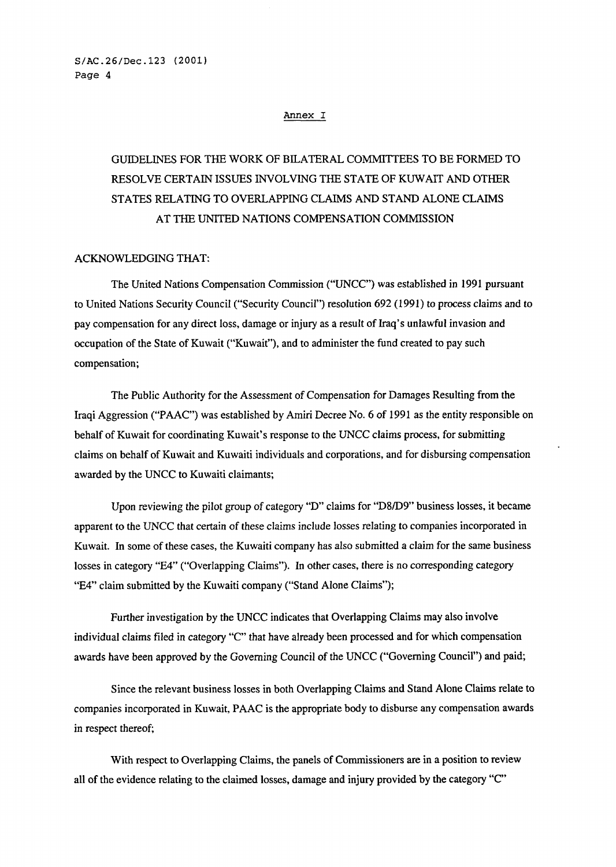#### **Annex I**

## GUIDELINES FOR THE WORK OF BILATERAL COMMITTEES TO BE FORMED TO RESOLVE CERTAIN ISSUES INVOLVING THE STATE OF KUWAIT AND OTHER STATES RELATING TO OVERLAPPING CLAIMS AND STAND ALONE CLAIMS AT THE UNITED NATIONS COMPENSATION COMMISSION

## ACKNOWLEDGING THAT:

The United Nations Compensation Commission ("UNCC") was established in 1991 pursuant to United Nations Security Council ("Security Council") resolution 692 (1991) to process claims and to pay compensation for any direct loss, damage or injury as a result of Iraq's unlawful invasion and occupation of the State of Kuwait ("Kuwait"), and to administer the fund created to pay such compensation;

The Public Authority for the Assessment of Compensation for Damages Resulting from the Iraqi Aggression ("PAAC") was established by Amiri Decree No. 6 of 1991 as the entity responsible on behalf of Kuwait for coordinating Kuwait's response to the UNCC claims process, for submitting claims on behalf of Kuwait and Kuwaiti individuals and corporations, and for disbursing compensation awarded by the UNCC to Kuwaiti claimants;

Upon reviewing the pilot group of category "D'claims for "D8/D9" business losses, it became apparent to the UNCC that certain of these claims include losses relating to companies incorporated in Kuwait. In some of these cases, the Kuwaiti company has also submitted a claim for the same business losses in category "E4" ("Overlapping Claims"). In other cases, there is no corresponding category "E4" claim submitted by the Kuwaiti company ("Stand Alone Claims");

Further investigation by the UNCC indicates that Overlapping Claims may also involve individual claims filed in category "C" that have already been processed and for which compensation awards have been approved by the Governing Council of the UNCC ("Governing Council") and paid;

Since the relevant business losses in both Overlapping Claims and Stand Alone Claims relate to companies incorporated in Kuwait, PAAC is the appropriate body to disburse any compensation awards in respect thereof;

With respect to Overlapping Claims, the panels of Commissioners are in a position to review all of the evidence relating to the claimed losses, damage and injury provided by the category **"C"**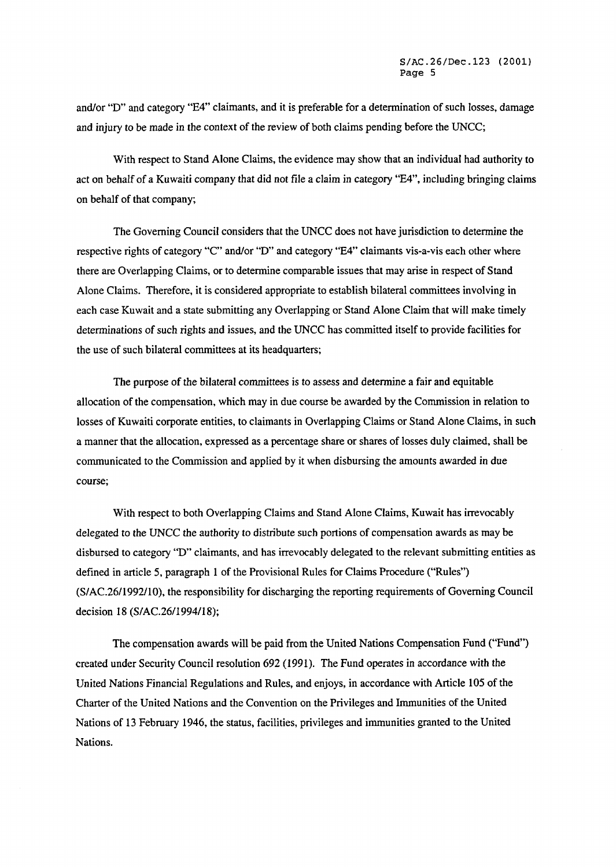and/or "D" and category "E4" claimants, and it is preferable for a determination of such losses, damage and injury to be made in the context of the review of both claims pending before the UNCC;

With respect to Stand Alone Claims, the evidence may show that an individual had authority to act on behalf of a Kuwaiti company that did not file a claim in category "E4", including bringing claims on behalf of that company;

The Governing Council considers that the UNCC does not have jurisdiction to determine the respective rights of category **"C"** and/or **"D"** and category **"E4"** claimants vis-a-vis each other where there are Overlapping Claims, or to determine comparable issues that may arise in respect of Stand Alone Claims. Therefore, it is considered appropriate to establish bilateral committees involving in each case Kuwait and a state submitting any Overlapping or Stand Alone Claim that will make timely determinations of such rights and issues, and the UNCC has committed itself to provide facilities for the use of such bilateral committees at its headquarters;

The purpose of the bilateral committees is to assess and determine a fair and equitable allocation of the compensation, which may in due course be awarded by the Commission in relation to losses of Kuwaiti corporate entities, to claimants in Overlapping Claims or Stand Alone Claims, in such a manner that the allocation, expressed as a percentage share or shares of losses duly claimed, shall be communicated to the Commission and applied by it when disbursing the amounts awarded in due course;

With respect to both Overlapping Claims and Stand Alone Claims, Kuwait has irrevocably delegated to the UNCC the authority to distribute such portions of compensation awards as may be disbursed to category **"D"** claimants, and has irrevocably delegated to the relevant submitting entities as defined in article 5, paragraph 1 of the Provisional Rules for Claims Procedure ("'Rules") (S/AC.26/1992/10), the responsibility for discharging the reporting requirements of Governing Council decision 18 (S/AC.26/1994/18);

The compensation awards will be paid from the United Nations Compensation Fund ("Fund") created under Security Council resolution 692 (1991). The Fund operates in accordance with the United Nations Financial Regulations and Rules, and enjoys, in accordance with Article 105 of the Charter of the United Nations and the Convention on the Privileges and Immunities of the United Nations of 13 February 1946, the status, facilities, privileges and immunities granted to the United Nations.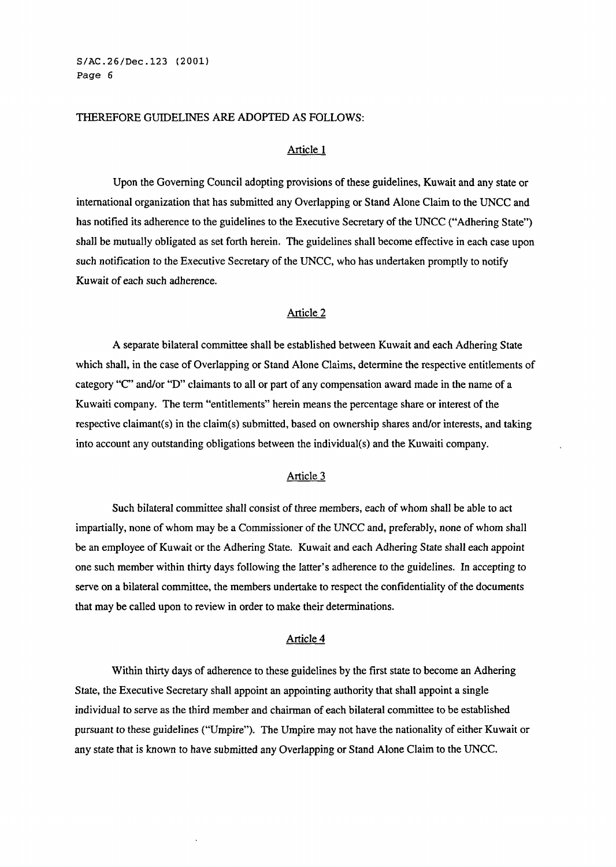#### THEREFORE GUIDELINES ARE ADOPTED AS FOLLOWS:

#### Article 1

Upon the Governing Council adopting provisions of these guidelines, Kuwait and any state or international organization that has submitted any Overlapping or Stand Alone Claim to the UNCC and has notified its adherence to the guidelines to the Executive Secretary of the UNCC ("Adhering State") shall be mutually obligated as set forth herein. The guidelines shall become effective in each case upon such notification to the Executive Secretary of the UNCC, who has undertaken promptly to notify Kuwait of each such adherence.

## Article 2

A separate bilateral committee shall be established between Kuwait and each Adhering State which shall, in the case of Overlapping or Stand Alone Claims, determine the respective entitlements of category "C" and/or "D" claimants to all or part of any compensation award made in the name of a Kuwaiti company. The term "entitlements" herein means the percentage share or interest of the respective claimant(s) in the claim(s) submitted, based on ownership shares andlor interests, and taking into account any outstanding obligations between the individual(s) and the Kuwaiti company.

## Article **3**

Such bilateral committee shall consist of three members, each of whom shall be able to act impartially, none of whom may be a Commissioner of the UNCC and, preferably, none of whom shall be an employee of Kuwait or the Adhering State. Kuwait and each Adhering State shall each appoint one such member within thirty days following the latter's adherence to the guidelines. In accepting to serve on a bilateral committee, the members undertake to respect the confidentiality of the documents that may be called upon to review in order to make their determinations.

#### Article 4

Within thirty days of adherence to these guidelines by the first state to become an Adhering State, the Executive Secretary shall appoint an appointing authority that shall appoint a single individual to serve as the third member and chairman of each bilateral committee to be established pursuant to these guidelines ("Umpire"). The Umpire may not have the nationality of either Kuwait or any state that is known to have submitted any Overlapping or Stand Alone Claim to the UNCC.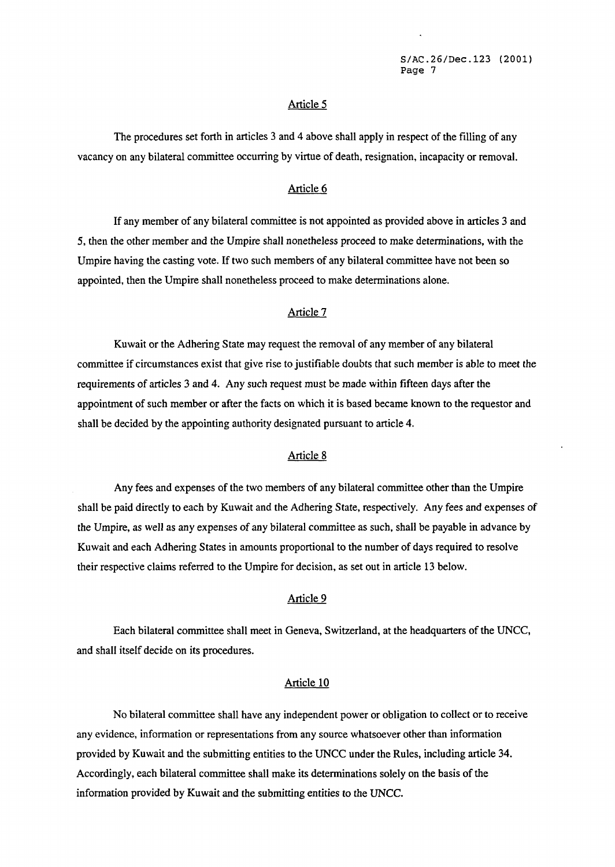### Article 5

The procedures set forth in articles **3** and 4 above shall apply in respect of the filling of any vacancy on any bilateral committee occurring by virtue of death, resignation, incapacity or removal.

## Article 6

If any member of any bilateral committee is not appointed as provided above in articles **3** and 5, then the other member and the Umpire shall nonetheless proceed to make determinations, with the Umpire having the casting vote. If two such members of any bilateral committee have not been so appointed, then the Umpire shall nonetheless proceed to make determinations alone.

#### Article 7

Kuwait or the Adhering State may request the removal of any member of any bilateral committee if circumstances exist that give rise to justifiable doubts that such member is able to meet the requirements of articles **3** and 4. Any such request must be made within fifteen days after the appointment of such member or after the facts on which it is based became known to the requestor and shall be decided by the appointing authority designated pursuant to article **4.** 

## Article 8

Any fees and expenses of the two members of any bilateral committee other than the Umpire shall be paid directly to each by Kuwait and the Adhering State, respectively. Any fees and expenses of the Umpire, as well as any expenses of any bilateral committee as such, shall be payable in advance by Kuwait and each Adhering States in amounts proportional to the number of days required to resolve their respective claims referred to the Umpire for decision, as set out in article **13** below.

#### Article 9

Each bilateral committee shall meet in Geneva, Switzerland, at the headquarters of the UNCC, and shall itself decide on its procedures.

#### Article<sub>10</sub>

No bilateral committee shall have any independent power or obligation to collect or to receive any evidence, information or representations from any source whatsoever other than information provided by Kuwait and the submitting entities to the UNCC under the Rules, including article **34.**  Accordingly, each bilateral committee shall make its determinations solely on the basis of the information provided by Kuwait and the submitting entities to the UNCC.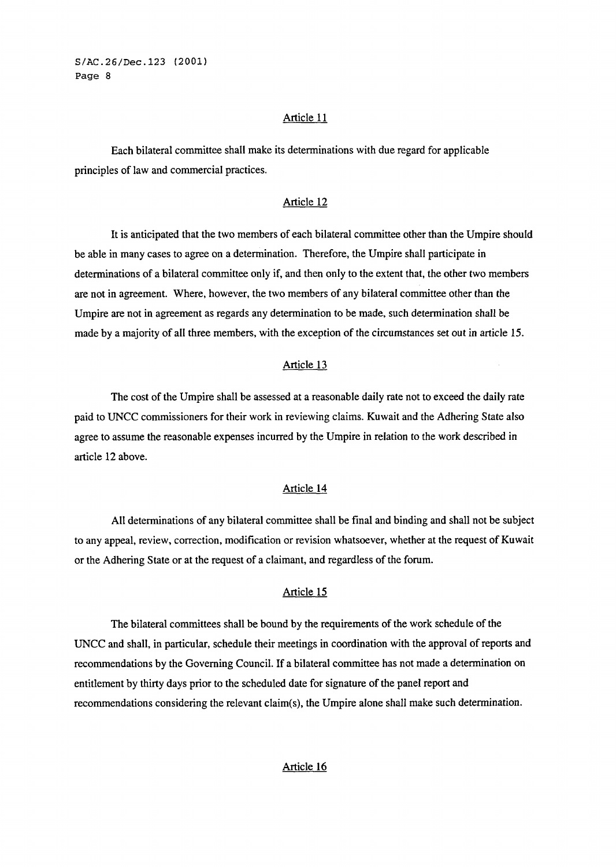#### Article 11

Each bilateral committee shall make its determinations with due regard for applicable principles of law and commercial practices.

## Article 12

It is anticipated that the two members of each bilateral committee other than the Umpire should be able in many cases to agree on a determination. Therefore, the Umpire shall participate in determinations of a bilateral committee only if, and then only to the extent that, the other two members are not in agreement. Where, however, the two members of any bilateral committee other than the Umpire are not in agreement as regards any determination to be made, such determination shall be made by a majority of all three members, with the exception of the circumstances set out in article 15.

## Article 13

The cost of the Umpire shall be assessed at a reasonable daily rate not to exceed the daily rate paid to UNCC commissioners for their work in reviewing claims. Kuwait and the Adhering State also agree to assume the reasonable expenses incurred by the Umpire in relation to the work described in article 12 above.

#### Article 14

All determinations of any bilateral committee shall be final and binding and shall not be subject to any appeal, review, correction, modification or revision whatsoever, whether at the request of Kuwait or the Adhering State or at the request of a claimant, and regardless of the forum.

## Article 15

The bilateral committees shall be bound by the requirements of the work schedule of the UNCC and shall, in particular, schedule their meetings in coordination with the approval of reports and recommendations by the Governing Council. If a bilateral committee has not made a determination on entitlement by thirty days prior to the scheduled date for signature of the panel report and recommendations considering the relevant claim(s), the Umpire alone shall make such determination.

## Article 16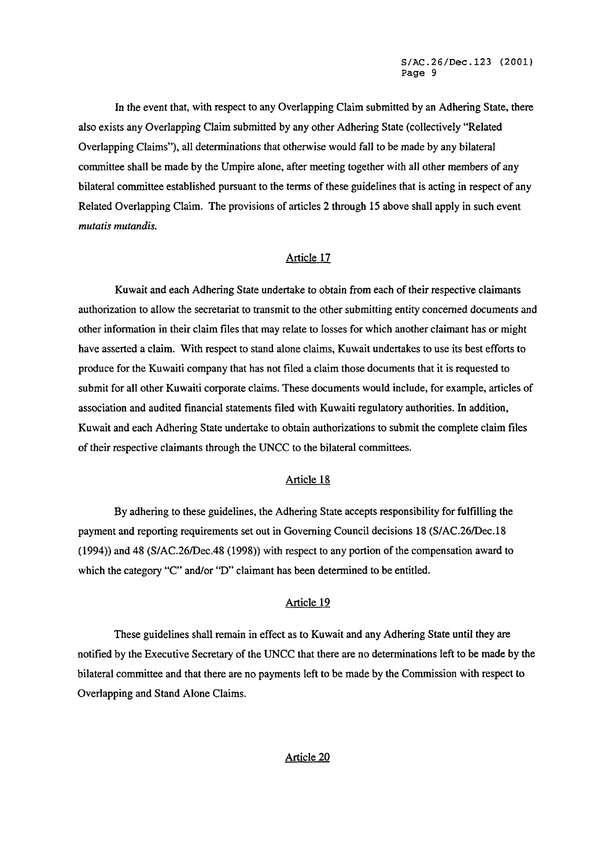In the event that, with respect to any Overlapping Claim submitted by an Adhering State, there also exists any Overlapping Claim submitted by any other Adhering State (collectively "Related Overlapping Claims"), all determinations that otherwise would fall to be made by any bilateral committee shall be made by the Umpire alone, after meeting together with all other members of any bilateral committee established pursuant to the terms of these guidelines that is acting in respect of any Related Overlapping Claim. The provisions of articles 2 through 15 above shall apply in such event *mutatis mutandis.* 

## Article 17

Kuwait and each Adhering State undertake to obtain from each of their respective claimants authorization to allow the secretariat to transmit to the other submitting entity concerned documents and other information in their claim files that may relate to losses for which another claimant has or might have asserted a claim. With respect to stand alone claims, Kuwait undertakes to use its best efforts to produce for the Kuwaiti company that has not filed a claim those documents that it is requested to submit for all other Kuwaiti corporate claims. These documents would include, for example, articles of association and audited financial statements filed with Kuwaiti regulatory authorities. In addition, Kuwait and each Adhering State undertake to obtain authorizations to submit the complete claim files of their respective claimants through the UNCC to the bilateral committees.

## Article 18

By adhering to these guidelines, the Adhering State accepts responsibility for fulfilling the payment and reporting requirements set out in Governing Council decisions 18 (SIAC.26Dec.18 (1994)) and 48 (SlAC.26IDec.48 (1998)) with respect to any portion of the compensation award to which the category "C" and/or "D" claimant has been determined to be entitled.

## Article 19

These guidelines shall remain in effect as to Kuwait and any Adhering State until they are notified by the Executive Secretary of the UNCC that there are no determinations left to be made by the bilateral committee and that there are no payments left to be made by the Commission with respect to Overlapping and Stand Alone Claims.

## Article 20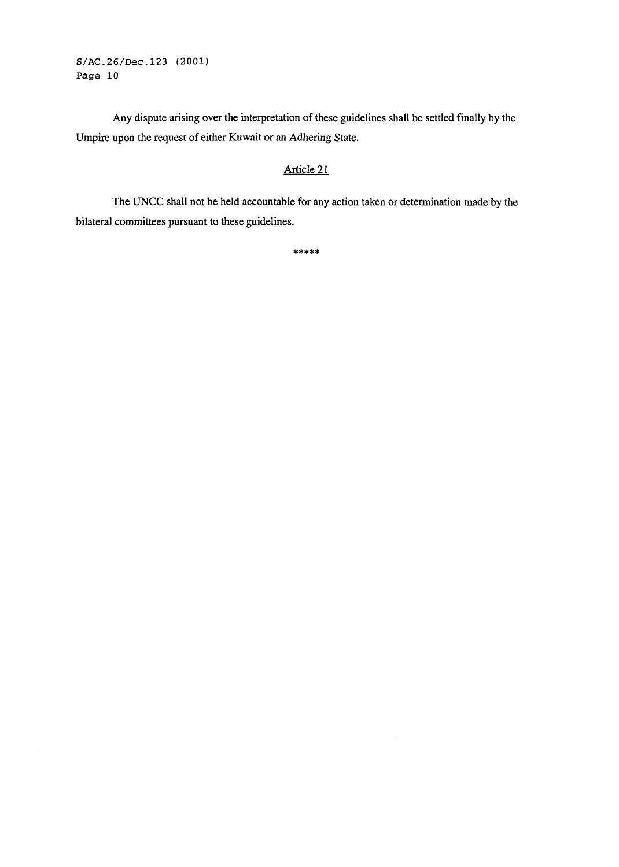Any dispute arising over the interpretation of these guidelines shall be settled finally by the Umpire upon the request of either Kuwait or an Adhering State.

## Article **2** 1

The UNCC shall not be held accountable for any action taken or determination made by the bilateral committees pursuant to these guidelines.

\*\*\*\*\*